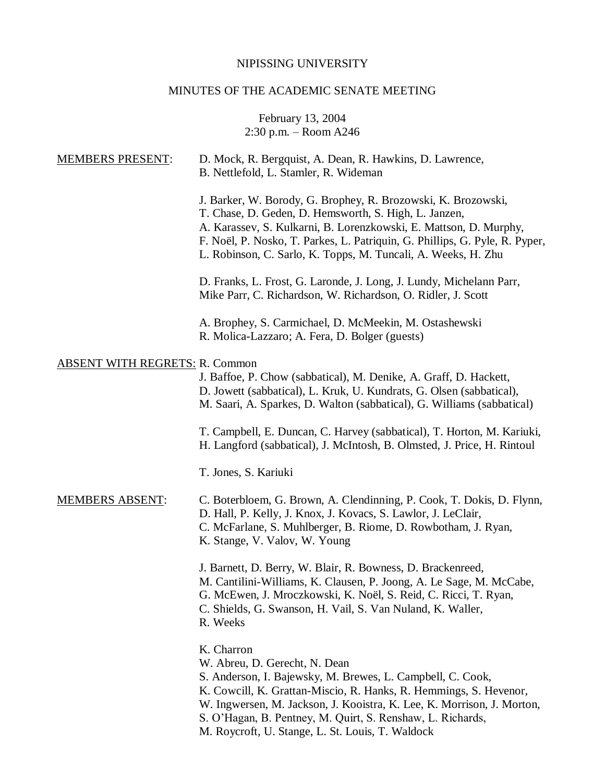# NIPISSING UNIVERSITY

# MINUTES OF THE ACADEMIC SENATE MEETING

February 13, 2004 2:30 p.m. – Room A246

| D. Mock, R. Bergquist, A. Dean, R. Hawkins, D. Lawrence,<br>B. Nettlefold, L. Stamler, R. Wideman                                                                                                                                                                                                                                                                          |
|----------------------------------------------------------------------------------------------------------------------------------------------------------------------------------------------------------------------------------------------------------------------------------------------------------------------------------------------------------------------------|
| J. Barker, W. Borody, G. Brophey, R. Brozowski, K. Brozowski,<br>T. Chase, D. Geden, D. Hemsworth, S. High, L. Janzen,<br>A. Karassev, S. Kulkarni, B. Lorenzkowski, E. Mattson, D. Murphy,<br>F. Noël, P. Nosko, T. Parkes, L. Patriquin, G. Phillips, G. Pyle, R. Pyper,<br>L. Robinson, C. Sarlo, K. Topps, M. Tuncali, A. Weeks, H. Zhu                                |
| D. Franks, L. Frost, G. Laronde, J. Long, J. Lundy, Michelann Parr,<br>Mike Parr, C. Richardson, W. Richardson, O. Ridler, J. Scott                                                                                                                                                                                                                                        |
| A. Brophey, S. Carmichael, D. McMeekin, M. Ostashewski<br>R. Molica-Lazzaro; A. Fera, D. Bolger (guests)                                                                                                                                                                                                                                                                   |
| <b>ABSENT WITH REGRETS: R. Common</b><br>J. Baffoe, P. Chow (sabbatical), M. Denike, A. Graff, D. Hackett,<br>D. Jowett (sabbatical), L. Kruk, U. Kundrats, G. Olsen (sabbatical),<br>M. Saari, A. Sparkes, D. Walton (sabbatical), G. Williams (sabbatical)                                                                                                               |
| T. Campbell, E. Duncan, C. Harvey (sabbatical), T. Horton, M. Kariuki,<br>H. Langford (sabbatical), J. McIntosh, B. Olmsted, J. Price, H. Rintoul                                                                                                                                                                                                                          |
| T. Jones, S. Kariuki                                                                                                                                                                                                                                                                                                                                                       |
| C. Boterbloem, G. Brown, A. Clendinning, P. Cook, T. Dokis, D. Flynn,<br>D. Hall, P. Kelly, J. Knox, J. Kovacs, S. Lawlor, J. LeClair,<br>C. McFarlane, S. Muhlberger, B. Riome, D. Rowbotham, J. Ryan,<br>K. Stange, V. Valov, W. Young                                                                                                                                   |
| J. Barnett, D. Berry, W. Blair, R. Bowness, D. Brackenreed,<br>M. Cantilini-Williams, K. Clausen, P. Joong, A. Le Sage, M. McCabe,<br>G. McEwen, J. Mroczkowski, K. Noël, S. Reid, C. Ricci, T. Ryan,<br>C. Shields, G. Swanson, H. Vail, S. Van Nuland, K. Waller,<br>R. Weeks                                                                                            |
| K. Charron<br>W. Abreu, D. Gerecht, N. Dean<br>S. Anderson, I. Bajewsky, M. Brewes, L. Campbell, C. Cook,<br>K. Cowcill, K. Grattan-Miscio, R. Hanks, R. Hemmings, S. Hevenor,<br>W. Ingwersen, M. Jackson, J. Kooistra, K. Lee, K. Morrison, J. Morton,<br>S. O'Hagan, B. Pentney, M. Quirt, S. Renshaw, L. Richards,<br>M. Roycroft, U. Stange, L. St. Louis, T. Waldock |
|                                                                                                                                                                                                                                                                                                                                                                            |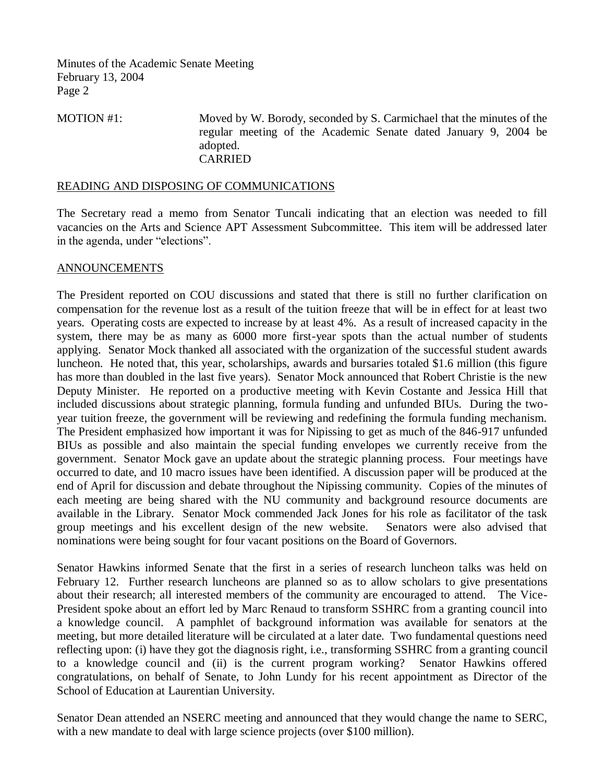MOTION #1: Moved by W. Borody, seconded by S. Carmichael that the minutes of the regular meeting of the Academic Senate dated January 9, 2004 be adopted. CARRIED

### READING AND DISPOSING OF COMMUNICATIONS

The Secretary read a memo from Senator Tuncali indicating that an election was needed to fill vacancies on the Arts and Science APT Assessment Subcommittee. This item will be addressed later in the agenda, under "elections".

### ANNOUNCEMENTS

The President reported on COU discussions and stated that there is still no further clarification on compensation for the revenue lost as a result of the tuition freeze that will be in effect for at least two years. Operating costs are expected to increase by at least 4%. As a result of increased capacity in the system, there may be as many as 6000 more first-year spots than the actual number of students applying. Senator Mock thanked all associated with the organization of the successful student awards luncheon. He noted that, this year, scholarships, awards and bursaries totaled \$1.6 million (this figure has more than doubled in the last five years). Senator Mock announced that Robert Christie is the new Deputy Minister. He reported on a productive meeting with Kevin Costante and Jessica Hill that included discussions about strategic planning, formula funding and unfunded BIUs. During the twoyear tuition freeze, the government will be reviewing and redefining the formula funding mechanism. The President emphasized how important it was for Nipissing to get as much of the 846-917 unfunded BIUs as possible and also maintain the special funding envelopes we currently receive from the government. Senator Mock gave an update about the strategic planning process. Four meetings have occurred to date, and 10 macro issues have been identified. A discussion paper will be produced at the end of April for discussion and debate throughout the Nipissing community. Copies of the minutes of each meeting are being shared with the NU community and background resource documents are available in the Library. Senator Mock commended Jack Jones for his role as facilitator of the task group meetings and his excellent design of the new website. Senators were also advised that nominations were being sought for four vacant positions on the Board of Governors.

Senator Hawkins informed Senate that the first in a series of research luncheon talks was held on February 12. Further research luncheons are planned so as to allow scholars to give presentations about their research; all interested members of the community are encouraged to attend. The Vice-President spoke about an effort led by Marc Renaud to transform SSHRC from a granting council into a knowledge council. A pamphlet of background information was available for senators at the meeting, but more detailed literature will be circulated at a later date. Two fundamental questions need reflecting upon: (i) have they got the diagnosis right, i.e., transforming SSHRC from a granting council to a knowledge council and (ii) is the current program working? Senator Hawkins offered congratulations, on behalf of Senate, to John Lundy for his recent appointment as Director of the School of Education at Laurentian University.

Senator Dean attended an NSERC meeting and announced that they would change the name to SERC, with a new mandate to deal with large science projects (over \$100 million).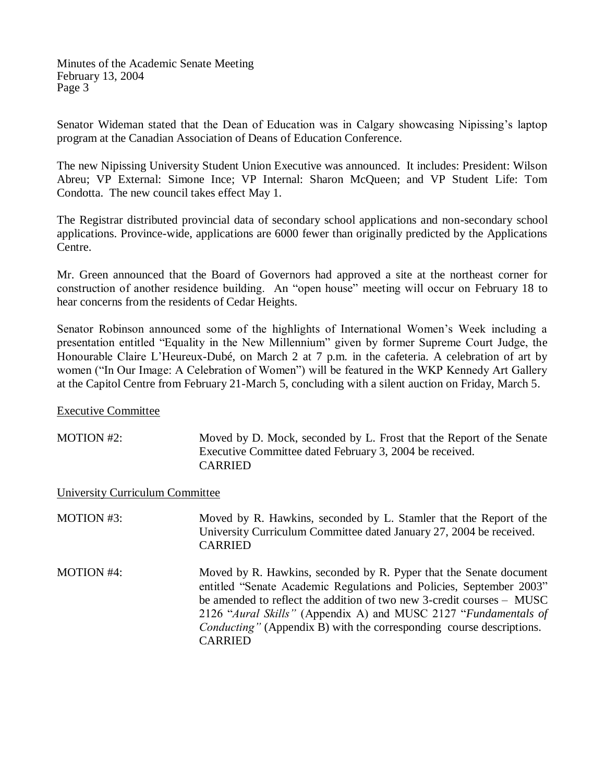Senator Wideman stated that the Dean of Education was in Calgary showcasing Nipissing's laptop program at the Canadian Association of Deans of Education Conference.

The new Nipissing University Student Union Executive was announced. It includes: President: Wilson Abreu; VP External: Simone Ince; VP Internal: Sharon McQueen; and VP Student Life: Tom Condotta. The new council takes effect May 1.

The Registrar distributed provincial data of secondary school applications and non-secondary school applications. Province-wide, applications are 6000 fewer than originally predicted by the Applications Centre.

Mr. Green announced that the Board of Governors had approved a site at the northeast corner for construction of another residence building. An "open house" meeting will occur on February 18 to hear concerns from the residents of Cedar Heights.

Senator Robinson announced some of the highlights of International Women's Week including a presentation entitled "Equality in the New Millennium" given by former Supreme Court Judge, the Honourable Claire L'Heureux-Dubé, on March 2 at 7 p.m. in the cafeteria. A celebration of art by women ("In Our Image: A Celebration of Women") will be featured in the WKP Kennedy Art Gallery at the Capitol Centre from February 21-March 5, concluding with a silent auction on Friday, March 5.

Executive Committee

MOTION #2: Moved by D. Mock, seconded by L. Frost that the Report of the Senate Executive Committee dated February 3, 2004 be received. CARRIED

University Curriculum Committee

| MOTION #3:        | Moved by R. Hawkins, seconded by L. Stamler that the Report of the<br>University Curriculum Committee dated January 27, 2004 be received.<br><b>CARRIED</b>                                                                                                                                                                                                                             |
|-------------------|-----------------------------------------------------------------------------------------------------------------------------------------------------------------------------------------------------------------------------------------------------------------------------------------------------------------------------------------------------------------------------------------|
| <b>MOTION #4:</b> | Moved by R. Hawkins, seconded by R. Pyper that the Senate document<br>entitled "Senate Academic Regulations and Policies, September 2003"<br>be amended to reflect the addition of two new 3-credit courses – MUSC<br>2126 "Aural Skills" (Appendix A) and MUSC 2127 "Fundamentals of<br><i>Conducting</i> " (Appendix B) with the corresponding course descriptions.<br><b>CARRIED</b> |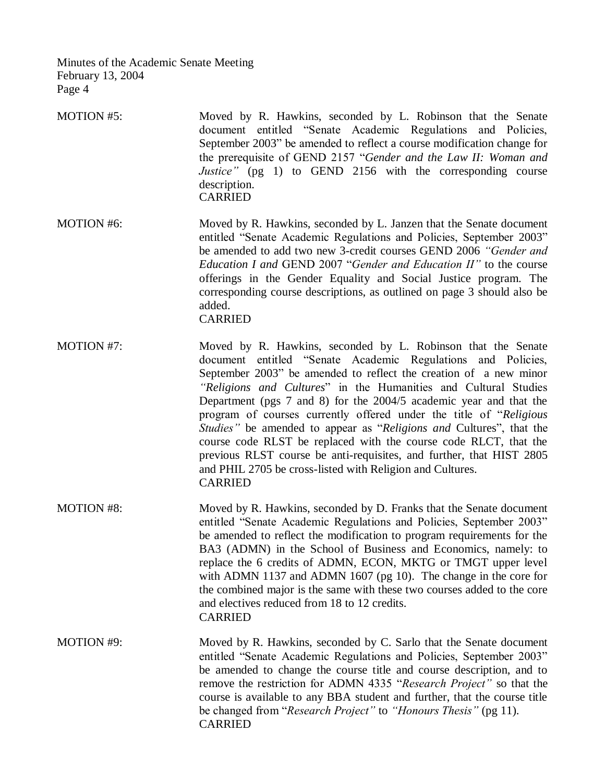- MOTION #5: Moved by R. Hawkins, seconded by L. Robinson that the Senate document entitled "Senate Academic Regulations and Policies, September 2003" be amended to reflect a course modification change for the prerequisite of GEND 2157 "*Gender and the Law II: Woman and Justice*" (pg 1) to GEND 2156 with the corresponding course description. **CARRIED**
- MOTION #6: Moved by R. Hawkins, seconded by L. Janzen that the Senate document entitled "Senate Academic Regulations and Policies, September 2003" be amended to add two new 3-credit courses GEND 2006 *"Gender and Education I and* GEND 2007 "*Gender and Education II"* to the course offerings in the Gender Equality and Social Justice program. The corresponding course descriptions, as outlined on page 3 should also be added. CARRIED
- MOTION #7: Moved by R. Hawkins, seconded by L. Robinson that the Senate document entitled "Senate Academic Regulations and Policies, September 2003" be amended to reflect the creation of a new minor *"Religions and Cultures*" in the Humanities and Cultural Studies Department (pgs 7 and 8) for the 2004/5 academic year and that the program of courses currently offered under the title of "*Religious Studies"* be amended to appear as "*Religions and* Cultures", that the course code RLST be replaced with the course code RLCT, that the previous RLST course be anti-requisites, and further, that HIST 2805 and PHIL 2705 be cross-listed with Religion and Cultures. CARRIED
- MOTION #8: Moved by R. Hawkins, seconded by D. Franks that the Senate document entitled "Senate Academic Regulations and Policies, September 2003" be amended to reflect the modification to program requirements for the BA3 (ADMN) in the School of Business and Economics, namely: to replace the 6 credits of ADMN, ECON, MKTG or TMGT upper level with ADMN 1137 and ADMN 1607 (pg 10). The change in the core for the combined major is the same with these two courses added to the core and electives reduced from 18 to 12 credits. CARRIED
- MOTION #9: Moved by R. Hawkins, seconded by C. Sarlo that the Senate document entitled "Senate Academic Regulations and Policies, September 2003" be amended to change the course title and course description, and to remove the restriction for ADMN 4335 "*Research Project"* so that the course is available to any BBA student and further, that the course title be changed from "*Research Project"* to *"Honours Thesis"* (pg 11). CARRIED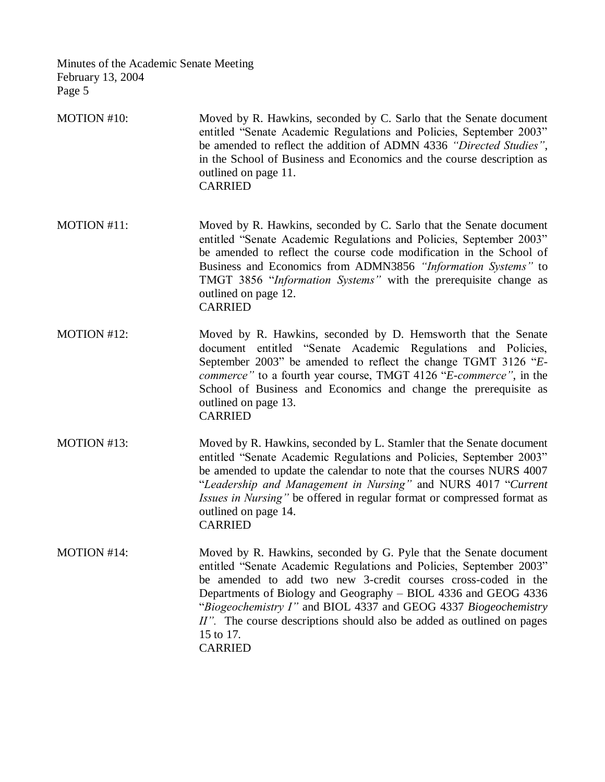MOTION #10: Moved by R. Hawkins, seconded by C. Sarlo that the Senate document entitled "Senate Academic Regulations and Policies, September 2003" be amended to reflect the addition of ADMN 4336 *"Directed Studies"*, in the School of Business and Economics and the course description as outlined on page 11. CARRIED

- MOTION #11: Moved by R. Hawkins, seconded by C. Sarlo that the Senate document entitled "Senate Academic Regulations and Policies, September 2003" be amended to reflect the course code modification in the School of Business and Economics from ADMN3856 *"Information Systems"* to TMGT 3856 "*Information Systems"* with the prerequisite change as outlined on page 12. CARRIED
- MOTION #12: Moved by R. Hawkins, seconded by D. Hemsworth that the Senate document entitled "Senate Academic Regulations and Policies, September 2003" be amended to reflect the change TGMT 3126 "*Ecommerce"* to a fourth year course, TMGT 4126 "*E-commerce"*, in the School of Business and Economics and change the prerequisite as outlined on page 13. CARRIED
- MOTION #13: Moved by R. Hawkins, seconded by L. Stamler that the Senate document entitled "Senate Academic Regulations and Policies, September 2003" be amended to update the calendar to note that the courses NURS 4007 "*Leadership and Management in Nursing"* and NURS 4017 "*Current Issues in Nursing"* be offered in regular format or compressed format as outlined on page 14. CARRIED
- MOTION #14: Moved by R. Hawkins, seconded by G. Pyle that the Senate document entitled "Senate Academic Regulations and Policies, September 2003" be amended to add two new 3-credit courses cross-coded in the Departments of Biology and Geography – BIOL 4336 and GEOG 4336 "*Biogeochemistry I"* and BIOL 4337 and GEOG 4337 *Biogeochemistry II".* The course descriptions should also be added as outlined on pages 15 to 17. CARRIED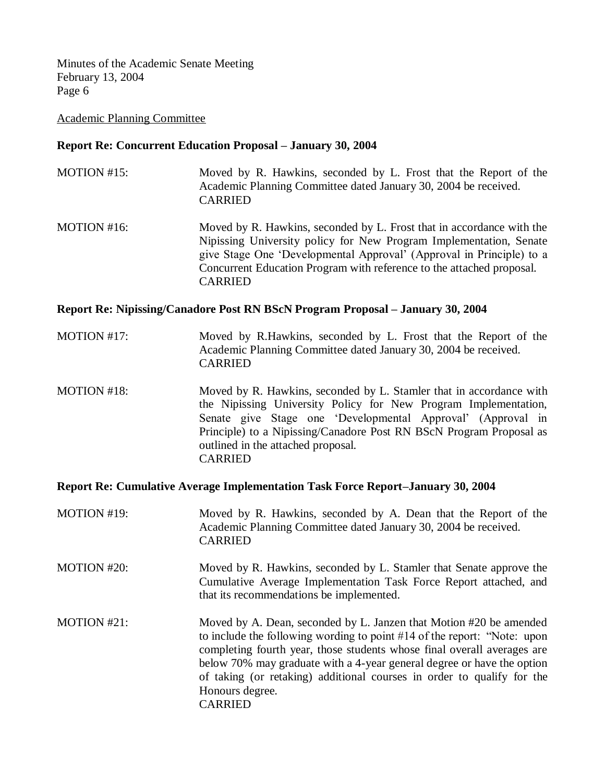## Academic Planning Committee

# **Report Re: Concurrent Education Proposal – January 30, 2004**

- MOTION #15: Moved by R. Hawkins, seconded by L. Frost that the Report of the Academic Planning Committee dated January 30, 2004 be received. CARRIED
- MOTION #16: Moved by R. Hawkins, seconded by L. Frost that in accordance with the Nipissing University policy for New Program Implementation, Senate give Stage One 'Developmental Approval' (Approval in Principle) to a Concurrent Education Program with reference to the attached proposal. CARRIED

# **Report Re: Nipissing/Canadore Post RN BScN Program Proposal – January 30, 2004**

- MOTION #17: Moved by R.Hawkins, seconded by L. Frost that the Report of the Academic Planning Committee dated January 30, 2004 be received. CARRIED
- MOTION #18: Moved by R. Hawkins, seconded by L. Stamler that in accordance with the Nipissing University Policy for New Program Implementation, Senate give Stage one 'Developmental Approval' (Approval in Principle) to a Nipissing/Canadore Post RN BScN Program Proposal as outlined in the attached proposal. CARRIED

### **Report Re: Cumulative Average Implementation Task Force Report–January 30, 2004**

- MOTION #19: Moved by R. Hawkins, seconded by A. Dean that the Report of the Academic Planning Committee dated January 30, 2004 be received. CARRIED
- MOTION #20: Moved by R. Hawkins, seconded by L. Stamler that Senate approve the Cumulative Average Implementation Task Force Report attached, and that its recommendations be implemented.
- MOTION #21: Moved by A. Dean, seconded by L. Janzen that Motion #20 be amended to include the following wording to point #14 of the report: "Note: upon completing fourth year, those students whose final overall averages are below 70% may graduate with a 4-year general degree or have the option of taking (or retaking) additional courses in order to qualify for the Honours degree. CARRIED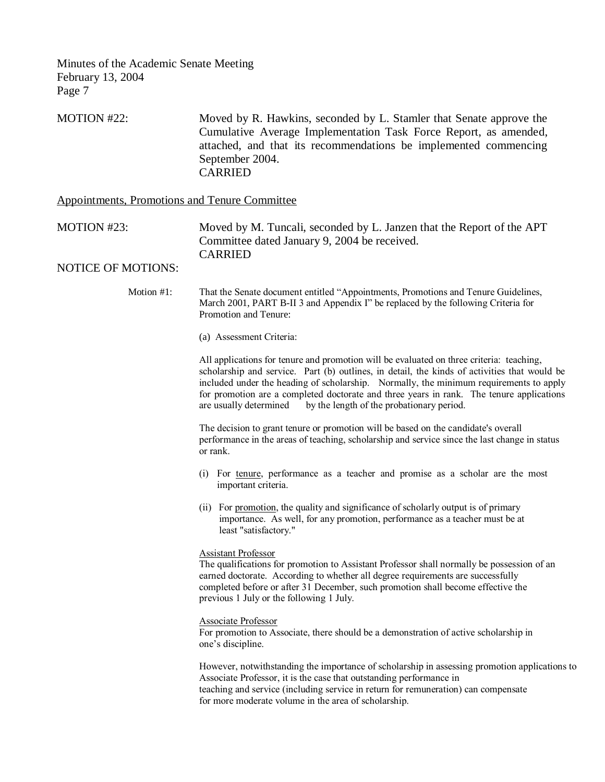| MOTION #22: | Moved by R. Hawkins, seconded by L. Stamler that Senate approve the |
|-------------|---------------------------------------------------------------------|
|             | Cumulative Average Implementation Task Force Report, as amended,    |
|             | attached, and that its recommendations be implemented commencing    |
|             | September 2004.                                                     |
|             | CARRIED                                                             |

Appointments, Promotions and Tenure Committee

MOTION #23: Moved by M. Tuncali, seconded by L. Janzen that the Report of the APT Committee dated January 9, 2004 be received. CARRIED

### NOTICE OF MOTIONS:

Motion #1: That the Senate document entitled "Appointments, Promotions and Tenure Guidelines, March 2001, PART B-II 3 and Appendix I" be replaced by the following Criteria for Promotion and Tenure:

(a) Assessment Criteria:

All applications for tenure and promotion will be evaluated on three criteria: teaching, scholarship and service. Part (b) outlines, in detail, the kinds of activities that would be included under the heading of scholarship. Normally, the minimum requirements to apply for promotion are a completed doctorate and three years in rank. The tenure applications are usually determined by the length of the probationary period.

The decision to grant tenure or promotion will be based on the candidate's overall performance in the areas of teaching, scholarship and service since the last change in status or rank.

- (i) For tenure, performance as a teacher and promise as a scholar are the most important criteria.
- (ii) For promotion, the quality and significance of scholarly output is of primary importance. As well, for any promotion, performance as a teacher must be at least "satisfactory."

### Assistant Professor

The qualifications for promotion to Assistant Professor shall normally be possession of an earned doctorate. According to whether all degree requirements are successfully completed before or after 31 December, such promotion shall become effective the previous 1 July or the following 1 July.

Associate Professor

For promotion to Associate, there should be a demonstration of active scholarship in one's discipline.

However, notwithstanding the importance of scholarship in assessing promotion applications to Associate Professor, it is the case that outstanding performance in teaching and service (including service in return for remuneration) can compensate for more moderate volume in the area of scholarship.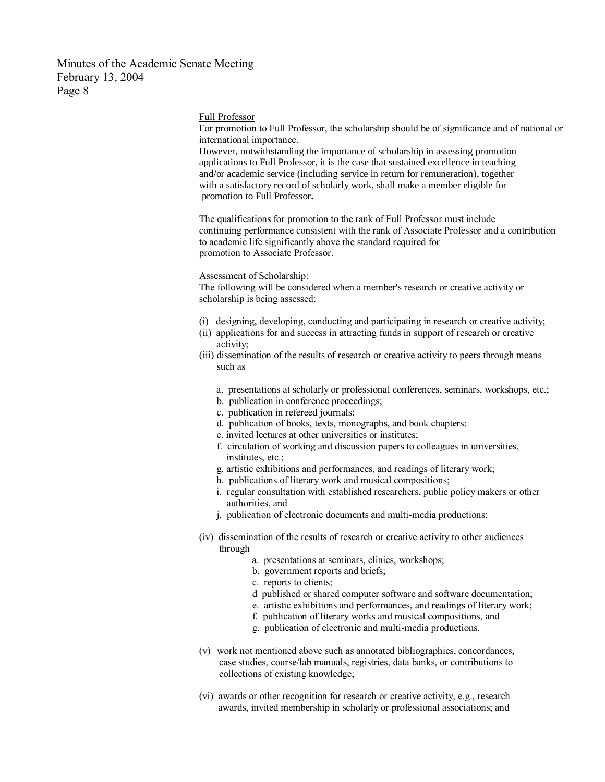#### Full Professor

For promotion to Full Professor, the scholarship should be of significance and of national or international importance.

However, notwithstanding the importance of scholarship in assessing promotion applications to Full Professor, it is the case that sustained excellence in teaching and/or academic service (including service in return for remuneration), together with a satisfactory record of scholarly work, shall make a member eligible for promotion to Full Professor**.**

The qualifications for promotion to the rank of Full Professor must include continuing performance consistent with the rank of Associate Professor and a contribution to academic life significantly above the standard required for promotion to Associate Professor.

Assessment of Scholarship:

The following will be considered when a member's research or creative activity or scholarship is being assessed:

- (i) designing, developing, conducting and participating in research or creative activity;
- (ii) applications for and success in attracting funds in support of research or creative activity;
- (iii) dissemination of the results of research or creative activity to peers through means such as
	- a. presentations at scholarly or professional conferences, seminars, workshops, etc.;
	- b. publication in conference proceedings;
	- c. publication in refereed journals;
	- d. publication of books, texts, monographs, and book chapters;
	- e. invited lectures at other universities or institutes;
	- f. circulation of working and discussion papers to colleagues in universities, institutes, etc.;
	- g. artistic exhibitions and performances, and readings of literary work;
	- h. publications of literary work and musical compositions;
	- i. regular consultation with established researchers, public policy makers or other authorities, and
	- j. publication of electronic documents and multi-media productions;
- (iv) dissemination of the results of research or creative activity to other audiences through
	- a. presentations at seminars, clinics, workshops;
	- b. government reports and briefs;
	- c. reports to clients;
	- d published or shared computer software and software documentation;
	- e. artistic exhibitions and performances, and readings of literary work;
	- f. publication of literary works and musical compositions, and
	- g. publication of electronic and multi-media productions.
- (v) work not mentioned above such as annotated bibliographies, concordances, case studies, course/lab manuals, registries, data banks, or contributions to collections of existing knowledge;
- (vi) awards or other recognition for research or creative activity, e.g., research awards, invited membership in scholarly or professional associations; and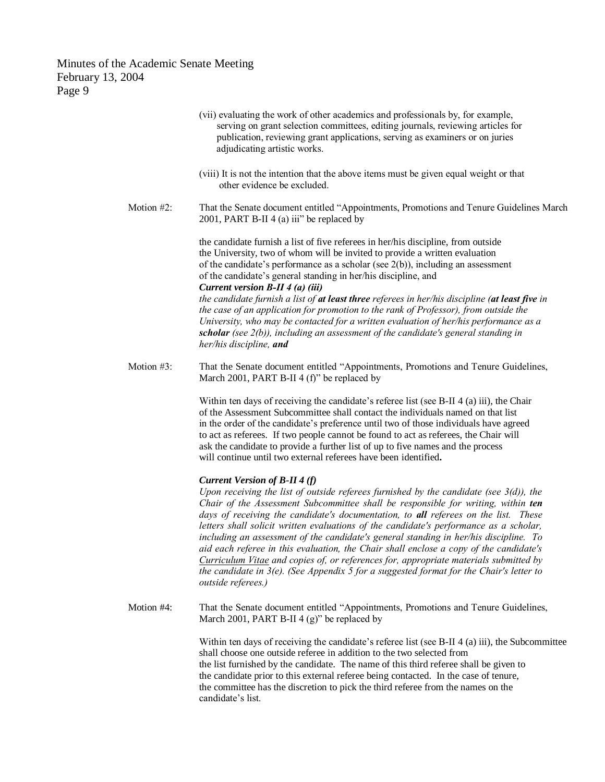> (vii) evaluating the work of other academics and professionals by, for example, serving on grant selection committees, editing journals, reviewing articles for publication, reviewing grant applications, serving as examiners or on juries adjudicating artistic works. (viii) It is not the intention that the above items must be given equal weight or that other evidence be excluded. Motion #2: That the Senate document entitled "Appointments, Promotions and Tenure Guidelines March 2001, PART B-II 4 (a) iii" be replaced by the candidate furnish a list of five referees in her/his discipline, from outside the University, two of whom will be invited to provide a written evaluation of the candidate's performance as a scholar (see 2(b)), including an assessment of the candidate's general standing in her/his discipline, and *Current version B-II 4 (a) (iii) the candidate furnish a list of at least three referees in her/his discipline (at least five in the case of an application for promotion to the rank of Professor), from outside the University, who may be contacted for a written evaluation of her/his performance as a scholar (see 2(b)), including an assessment of the candidate's general standing in her/his discipline, and* Motion #3: That the Senate document entitled "Appointments, Promotions and Tenure Guidelines, March 2001, PART B-II 4 (f)" be replaced by Within ten days of receiving the candidate's referee list (see B-II 4 (a) iii), the Chair of the Assessment Subcommittee shall contact the individuals named on that list in the order of the candidate's preference until two of those individuals have agreed to act as referees. If two people cannot be found to act as referees, the Chair will ask the candidate to provide a further list of up to five names and the process will continue until two external referees have been identified**.** *Current Version of B-II 4 (f) Upon receiving the list of outside referees furnished by the candidate (see 3(d)), the Chair of the Assessment Subcommittee shall be responsible for writing, within ten days of receiving the candidate's documentation, to all referees on the list. These letters shall solicit written evaluations of the candidate's performance as a scholar, including an assessment of the candidate's general standing in her/his discipline. To aid each referee in this evaluation, the Chair shall enclose a copy of the candidate's Curriculum Vitae and copies of, or references for, appropriate materials submitted by the candidate in 3(e). (See Appendix 5 for a suggested format for the Chair's letter to outside referees.)* Motion #4: That the Senate document entitled "Appointments, Promotions and Tenure Guidelines, March 2001, PART B-II  $4(g)$ " be replaced by Within ten days of receiving the candidate's referee list (see B-II 4 (a) iii), the Subcommittee shall choose one outside referee in addition to the two selected from the list furnished by the candidate. The name of this third referee shall be given to the candidate prior to this external referee being contacted. In the case of tenure, the committee has the discretion to pick the third referee from the names on the candidate's list.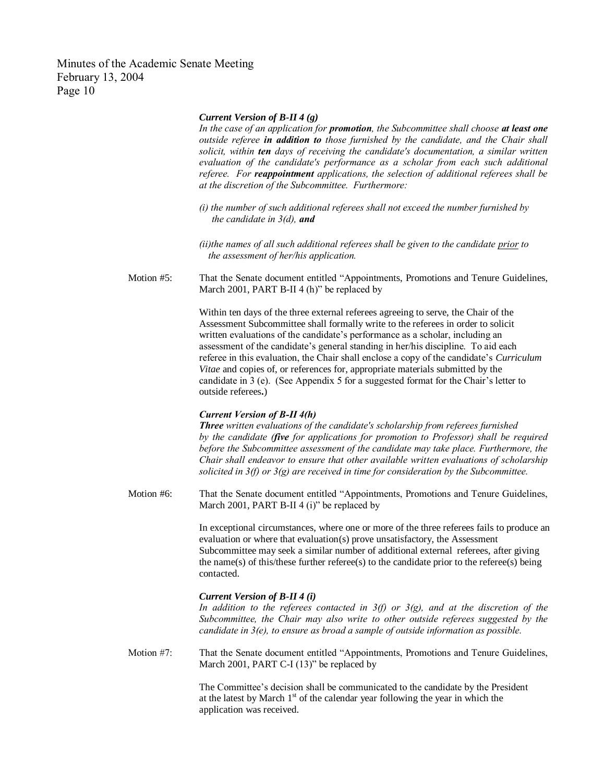#### *Current Version of B-II 4 (g)*

*In the case of an application for promotion, the Subcommittee shall choose at least one outside referee in addition to those furnished by the candidate, and the Chair shall solicit, within ten days of receiving the candidate's documentation, a similar written evaluation of the candidate's performance as a scholar from each such additional referee. For reappointment applications, the selection of additional referees shall be at the discretion of the Subcommittee. Furthermore:*

*(i) the number of such additional referees shall not exceed the number furnished by the candidate in 3(d), and*

*(ii)the names of all such additional referees shall be given to the candidate prior to the assessment of her/his application.*

Motion #5: That the Senate document entitled "Appointments, Promotions and Tenure Guidelines, March 2001, PART B-II 4 (h)" be replaced by

> Within ten days of the three external referees agreeing to serve, the Chair of the Assessment Subcommittee shall formally write to the referees in order to solicit written evaluations of the candidate's performance as a scholar, including an assessment of the candidate's general standing in her/his discipline. To aid each referee in this evaluation, the Chair shall enclose a copy of the candidate's *Curriculum Vitae* and copies of, or references for, appropriate materials submitted by the candidate in 3 (e). (See Appendix 5 for a suggested format for the Chair's letter to outside referees**.**)

#### *Current Version of B-II 4(h)*

*Three written evaluations of the candidate's scholarship from referees furnished by the candidate (five for applications for promotion to Professor) shall be required before the Subcommittee assessment of the candidate may take place. Furthermore, the Chair shall endeavor to ensure that other available written evaluations of scholarship solicited in 3(f) or 3(g) are received in time for consideration by the Subcommittee.*

Motion #6: That the Senate document entitled "Appointments, Promotions and Tenure Guidelines, March 2001, PART B-II 4 (i)" be replaced by

> In exceptional circumstances, where one or more of the three referees fails to produce an evaluation or where that evaluation $(s)$  prove unsatisfactory, the Assessment Subcommittee may seek a similar number of additional external referees, after giving the name(s) of this/these further referee(s) to the candidate prior to the referee(s) being contacted.

#### *Current Version of B-II 4 (i)*

*In addition to the referees contacted in 3(f) or 3(g), and at the discretion of the Subcommittee, the Chair may also write to other outside referees suggested by the candidate in 3(e), to ensure as broad a sample of outside information as possible.*

Motion #7: That the Senate document entitled "Appointments, Promotions and Tenure Guidelines, March 2001, PART C-I (13)" be replaced by

> The Committee's decision shall be communicated to the candidate by the President at the latest by March  $1<sup>st</sup>$  of the calendar year following the year in which the application was received.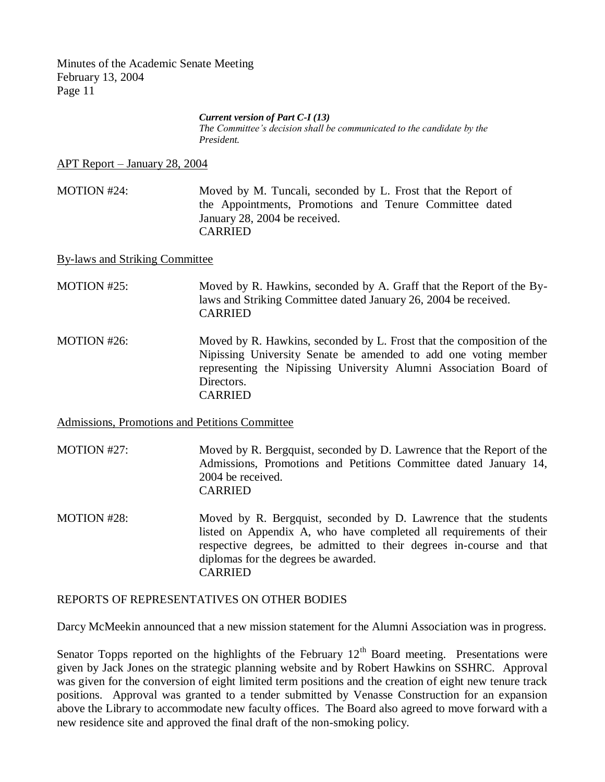#### *Current version of Part C-I (13)*

*The Committee's decision shall be communicated to the candidate by the President.*

APT Report – January 28, 2004

MOTION #24: Moved by M. Tuncali, seconded by L. Frost that the Report of the Appointments, Promotions and Tenure Committee dated January 28, 2004 be received. CARRIED

By-laws and Striking Committee

MOTION #25: Moved by R. Hawkins, seconded by A. Graff that the Report of the Bylaws and Striking Committee dated January 26, 2004 be received. CARRIED

MOTION #26: Moved by R. Hawkins, seconded by L. Frost that the composition of the Nipissing University Senate be amended to add one voting member representing the Nipissing University Alumni Association Board of Directors. CARRIED

Admissions, Promotions and Petitions Committee

MOTION #27: Moved by R. Bergquist, seconded by D. Lawrence that the Report of the Admissions, Promotions and Petitions Committee dated January 14, 2004 be received. CARRIED

MOTION #28: Moved by R. Bergquist, seconded by D. Lawrence that the students listed on Appendix A, who have completed all requirements of their respective degrees, be admitted to their degrees in-course and that diplomas for the degrees be awarded. CARRIED

## REPORTS OF REPRESENTATIVES ON OTHER BODIES

Darcy McMeekin announced that a new mission statement for the Alumni Association was in progress.

Senator Topps reported on the highlights of the February  $12<sup>th</sup>$  Board meeting. Presentations were given by Jack Jones on the strategic planning website and by Robert Hawkins on SSHRC. Approval was given for the conversion of eight limited term positions and the creation of eight new tenure track positions. Approval was granted to a tender submitted by Venasse Construction for an expansion above the Library to accommodate new faculty offices. The Board also agreed to move forward with a new residence site and approved the final draft of the non-smoking policy.